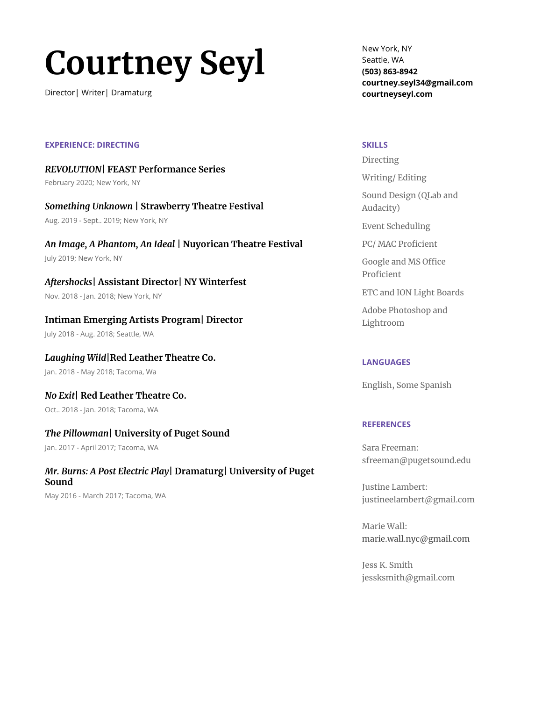# **Courtney Seyl**

Director| Writer| Dramaturg

New York, NY Seattle, WA **(503) 863-8942 courtney.seyl34@gmail.com courtneyseyl.com**

#### **SKILLS**

Directing

Writing/ Editing

Sound Design (QLab and Audacity)

Event Scheduling

PC/ MAC Proficient

Google and MS Office Proficient

ETC and ION Light Boards

Adobe Photoshop and Lightroom

#### **LANGUAGES**

English, Some Spanish

#### **REFERENCES**

Sara Freeman: [sfreeman@pugetsound.edu](mailto:sfreeman@pugetsound.edu)

Justine Lambert: justineelambert@gmail.com

Marie Wall: [marie.wall.nyc@gmail.com](mailto:marie.wall.nyc@gmail.com)

Jess K. Smith jessksmith@gmail.com

# **EXPERIENCE: DIRECTING**

*REVOLUTION***| FEAST Performance Series** February 2020; New York, NY

*Something Unknown* **| Strawberry Theatre Festival** Aug. 2019 - Sept.. 2019; New York, NY

*An Image, A Phantom, An Ideal* **| Nuyorican Theatre Festival** July 2019; New York, NY

*Aftershocks***| Assistant Director| NY Winterfest** Nov. 2018 - Jan. 2018; New York, NY

**Intiman Emerging Artists Program| Director**

July 2018 - Aug. 2018; Seattle, WA

*Laughing Wild***|Red Leather Theatre Co.**

Jan. 2018 - May 2018; Tacoma, Wa

*No Exit***| Red Leather Theatre Co.** Oct.. 2018 - Jan. 2018; Tacoma, WA

# *The Pillowman***| University of Puget Sound**

Jan. 2017 - April 2017; Tacoma, WA

# *Mr. Burns: A Post Electric Play***| Dramaturg| University of Puget Sound**

May 2016 - March 2017; Tacoma, WA